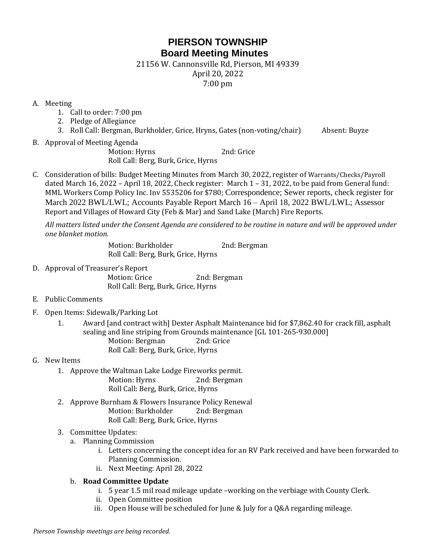# **PIERSON TOWNSHIP Board Meeting Minutes**

21156 W. Cannonsville Rd, Pierson, MI 49339

April 20, 2022

7:00 pm

### A. Meeting

- 1. Call to order: 7:00 pm
- 2. Pledge of Allegiance
- 3. Roll Call: Bergman, Burkholder, Grice, Hryns, Gates (non-voting/chair) Absent: Buyze
- B. Approval of Meeting Agenda

Motion: Hyrns 2nd: Grice Roll Call: Berg, Burk, Grice, Hyrns

C. Consideration of bills: Budget Meeting Minutes from March 30, 2022, register of Warrants/Checks/Payroll dated March 16, 2022 – April 18, 2022, Check register: March 1 – 31, 2022, to be paid from General fund: MML Workers Comp Policy Inc. Inv 5535206 for \$780; Correspondence; Sewer reports, check register for March 2022 BWL/LWL; Accounts Payable Report March 16 – April 18, 2022 BWL/LWL; Assessor Report and Villages of Howard City (Feb & Mar) and Sand Lake (March) Fire Reports.

*All matters listed under the Consent Agenda are considered to be routine in nature and will be approved under one blanket motion.* 

> Motion: Burkholder 2nd: Bergman Roll Call: Berg, Burk, Grice, Hyrns

- D. Approval of Treasurer's Report Motion: Grice 2nd: Bergman Roll Call: Berg, Burk, Grice, Hyrns
- E. Public Comments
- F. Open Items: Sidewalk/Parking Lot
	- 1. Award [and contract with] Dexter Asphalt Maintenance bid for \$7,862.40 for crack fill, asphalt sealing and line striping from Grounds maintenance [GL 101-265-930.000] Motion: Bergman 2nd: Grice Roll Call: Berg, Burk, Grice, Hyrns

## G. New Items

- 1. Approve the Waltman Lake Lodge Fireworks permit. Motion: Hyrns 2nd: Bergman Roll Call: Berg, Burk, Grice, Hyrns
- 2. Approve Burnham & Flowers Insurance Policy Renewal Motion: Burkholder 2nd: Bergman Roll Call: Berg, Burk, Grice, Hyrns

## 3. Committee Updates:

- a. Planning Commission
	- i. Letters concerning the concept idea for an RV Park received and have been forwarded to Planning Commission.
	- ii. Next Meeting: April 28, 2022

## b. **Road Committee Update**

- i. 5 year 1.5 mil road mileage update –working on the verbiage with County Clerk.
- ii. Open Committee position
- iii. Open House will be scheduled for June & July for a Q&A regarding mileage.